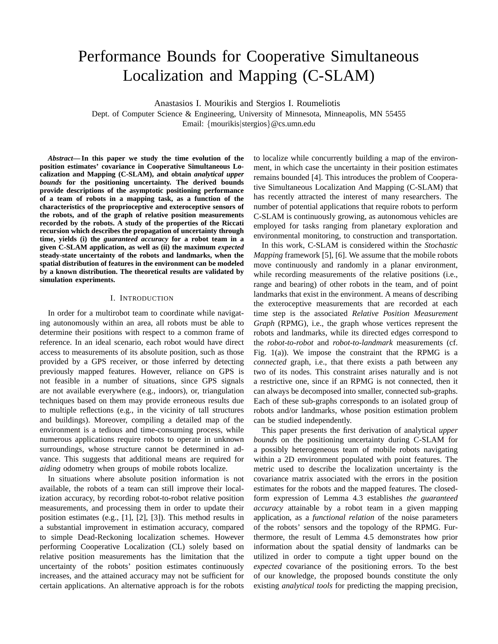# Performance Bounds for Cooperative Simultaneous Localization and Mapping (C-SLAM)

Anastasios I. Mourikis and Stergios I. Roumeliotis

Dept. of Computer Science & Engineering, University of Minnesota, Minneapolis, MN 55455 Email: {mourikis|stergios}@cs.umn.edu

*Abstract***— In this paper we study the time evolution of the position estimates' covariance in Cooperative Simultaneous Localization and Mapping (C-SLAM), and obtain** *analytical upper bounds* **for the positioning uncertainty. The derived bounds provide descriptions of the asymptotic positioning performance of a team of robots in a mapping task, as a function of the characteristics of the proprioceptive and exteroceptive sensors of the robots, and of the graph of relative position measurements recorded by the robots. A study of the properties of the Riccati recursion which describes the propagation of uncertainty through time, yields (i) the** *guaranteed accuracy* **for a robot team in a given C-SLAM application, as well as (ii) the maximum** *expected* **steady-state uncertainty of the robots and landmarks, when the spatial distribution of features in the environment can be modeled by a known distribution. The theoretical results are validated by simulation experiments.**

# I. INTRODUCTION

In order for a multirobot team to coordinate while navigating autonomously within an area, all robots must be able to determine their positions with respect to a common frame of reference. In an ideal scenario, each robot would have direct access to measurements of its absolute position, such as those provided by a GPS receiver, or those inferred by detecting previously mapped features. However, reliance on GPS is not feasible in a number of situations, since GPS signals are not available everywhere (e.g., indoors), or, triangulation techniques based on them may provide erroneous results due to multiple reflections (e.g., in the vicinity of tall structures and buildings). Moreover, compiling a detailed map of the environment is a tedious and time-consuming process, while numerous applications require robots to operate in unknown surroundings, whose structure cannot be determined in advance. This suggests that additional means are required for *aiding* odometry when groups of mobile robots localize.

In situations where absolute position information is not available, the robots of a team can still improve their localization accuracy, by recording robot-to-robot relative position measurements, and processing them in order to update their position estimates (e.g., [1], [2], [3]). This method results in a substantial improvement in estimation accuracy, compared to simple Dead-Reckoning localization schemes. However performing Cooperative Localization (CL) solely based on relative position measurements has the limitation that the uncertainty of the robots' position estimates continuously increases, and the attained accuracy may not be sufficient for certain applications. An alternative approach is for the robots to localize while concurrently building a map of the environment, in which case the uncertainty in their position estimates remains bounded [4]. This introduces the problem of Cooperative Simultaneous Localization And Mapping (C-SLAM) that has recently attracted the interest of many researchers. The number of potential applications that require robots to perform C-SLAM is continuously growing, as autonomous vehicles are employed for tasks ranging from planetary exploration and environmental monitoring, to construction and transportation.

In this work, C-SLAM is considered within the *Stochastic Mapping* framework [5], [6]. We assume that the mobile robots move continuously and randomly in a planar environment, while recording measurements of the relative positions (i.e., range and bearing) of other robots in the team, and of point landmarks that exist in the environment. A means of describing the exteroceptive measurements that are recorded at each time step is the associated *Relative Position Measurement Graph* (RPMG), i.e., the graph whose vertices represent the robots and landmarks, while its directed edges correspond to the *robot-to-robot* and *robot-to-landmark* measurements (cf. Fig. 1(a)). We impose the constraint that the RPMG is a *connected* graph, i.e., that there exists a path between any two of its nodes. This constraint arises naturally and is not a restrictive one, since if an RPMG is not connected, then it can always be decomposed into smaller, connected sub-graphs. Each of these sub-graphs corresponds to an isolated group of robots and/or landmarks, whose position estimation problem can be studied independently.

This paper presents the first derivation of analytical *upper bounds* on the positioning uncertainty during C-SLAM for a possibly heterogeneous team of mobile robots navigating within a 2D environment populated with point features. The metric used to describe the localization uncertainty is the covariance matrix associated with the errors in the position estimates for the robots and the mapped features. The closedform expression of Lemma 4.3 establishes *the guaranteed accuracy* attainable by a robot team in a given mapping application, as a *functional relation* of the noise parameters of the robots' sensors and the topology of the RPMG. Furthermore, the result of Lemma 4.5 demonstrates how prior information about the spatial density of landmarks can be utilized in order to compute a tight upper bound on the *expected* covariance of the positioning errors. To the best of our knowledge, the proposed bounds constitute the only existing *analytical tools* for predicting the mapping precision,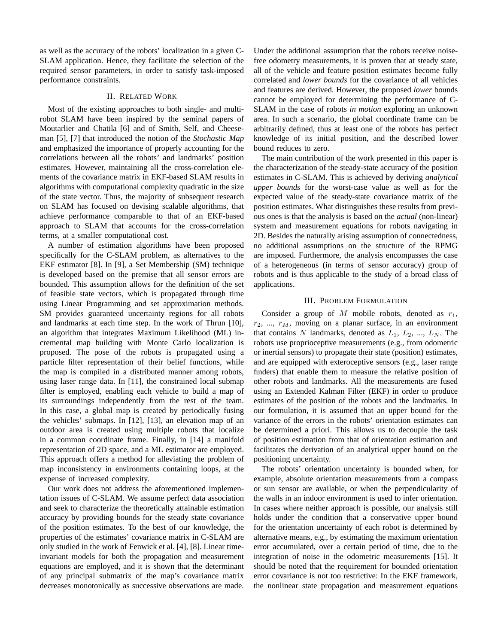as well as the accuracy of the robots' localization in a given C-SLAM application. Hence, they facilitate the selection of the required sensor parameters, in order to satisfy task-imposed performance constraints.

## II. RELATED WORK

Most of the existing approaches to both single- and multirobot SLAM have been inspired by the seminal papers of Moutarlier and Chatila [6] and of Smith, Self, and Cheeseman [5], [7] that introduced the notion of the *Stochastic Map* and emphasized the importance of properly accounting for the correlations between all the robots' and landmarks' position estimates. However, maintaining all the cross-correlation elements of the covariance matrix in EKF-based SLAM results in algorithms with computational complexity quadratic in the size of the state vector. Thus, the majority of subsequent research on SLAM has focused on devising scalable algorithms, that achieve performance comparable to that of an EKF-based approach to SLAM that accounts for the cross-correlation terms, at a smaller computational cost.

A number of estimation algorithms have been proposed specifically for the C-SLAM problem, as alternatives to the EKF estimator [8]. In [9], a Set Membership (SM) technique is developed based on the premise that all sensor errors are bounded. This assumption allows for the definition of the set of feasible state vectors, which is propagated through time using Linear Programming and set approximation methods. SM provides guaranteed uncertainty regions for all robots and landmarks at each time step. In the work of Thrun [10], an algorithm that integrates Maximum Likelihood (ML) incremental map building with Monte Carlo localization is proposed. The pose of the robots is propagated using a particle filter representation of their belief functions, while the map is compiled in a distributed manner among robots, using laser range data. In [11], the constrained local submap filter is employed, enabling each vehicle to build a map of its surroundings independently from the rest of the team. In this case, a global map is created by periodically fusing the vehicles' submaps. In [12], [13], an elevation map of an outdoor area is created using multiple robots that localize in a common coordinate frame. Finally, in [14] a manifold representation of 2D space, and a ML estimator are employed. This approach offers a method for alleviating the problem of map inconsistency in environments containing loops, at the expense of increased complexity.

Our work does not address the aforementioned implementation issues of C-SLAM. We assume perfect data association and seek to characterize the theoretically attainable estimation accuracy by providing bounds for the steady state covariance of the position estimates. To the best of our knowledge, the properties of the estimates' covariance matrix in C-SLAM are only studied in the work of Fenwick et al. [4], [8]. Linear timeinvariant models for both the propagation and measurement equations are employed, and it is shown that the determinant of any principal submatrix of the map's covariance matrix decreases monotonically as successive observations are made.

Under the additional assumption that the robots receive noisefree odometry measurements, it is proven that at steady state, all of the vehicle and feature position estimates become fully correlated and *lower bounds* for the covariance of all vehicles and features are derived. However, the proposed *lower* bounds cannot be employed for determining the performance of C-SLAM in the case of robots *in motion* exploring an unknown area. In such a scenario, the global coordinate frame can be arbitrarily defined, thus at least one of the robots has perfect knowledge of its initial position, and the described lower bound reduces to zero.

The main contribution of the work presented in this paper is the characterization of the steady-state accuracy of the position estimates in C-SLAM. This is achieved by deriving *analytical upper bounds* for the worst-case value as well as for the expected value of the steady-state covariance matrix of the position estimates. What distinguishes these results from previous ones is that the analysis is based on the *actual* (non-linear) system and measurement equations for robots navigating in 2D. Besides the naturally arising assumption of connectedness, no additional assumptions on the structure of the RPMG are imposed. Furthermore, the analysis encompasses the case of a heterogeneous (in terms of sensor accuracy) group of robots and is thus applicable to the study of a broad class of applications.

# III. PROBLEM FORMULATION

Consider a group of M mobile robots, denoted as  $r_1$ ,  $r_2$ , ...,  $r_M$ , moving on a planar surface, in an environment that contains N landmarks, denoted as  $L_1$ ,  $L_2$ , ...,  $L_N$ . The robots use proprioceptive measurements (e.g., from odometric or inertial sensors) to propagate their state (position) estimates, and are equipped with exteroceptive sensors (e.g., laser range finders) that enable them to measure the relative position of other robots and landmarks. All the measurements are fused using an Extended Kalman Filter (EKF) in order to produce estimates of the position of the robots and the landmarks. In our formulation, it is assumed that an upper bound for the variance of the errors in the robots' orientation estimates can be determined a priori. This allows us to decouple the task of position estimation from that of orientation estimation and facilitates the derivation of an analytical upper bound on the positioning uncertainty.

The robots' orientation uncertainty is bounded when, for example, absolute orientation measurements from a compass or sun sensor are available, or when the perpendicularity of the walls in an indoor environment is used to infer orientation. In cases where neither approach is possible, our analysis still holds under the condition that a conservative upper bound for the orientation uncertainty of each robot is determined by alternative means, e.g., by estimating the maximum orientation error accumulated, over a certain period of time, due to the integration of noise in the odometric measurements [15]. It should be noted that the requirement for bounded orientation error covariance is not too restrictive: In the EKF framework, the nonlinear state propagation and measurement equations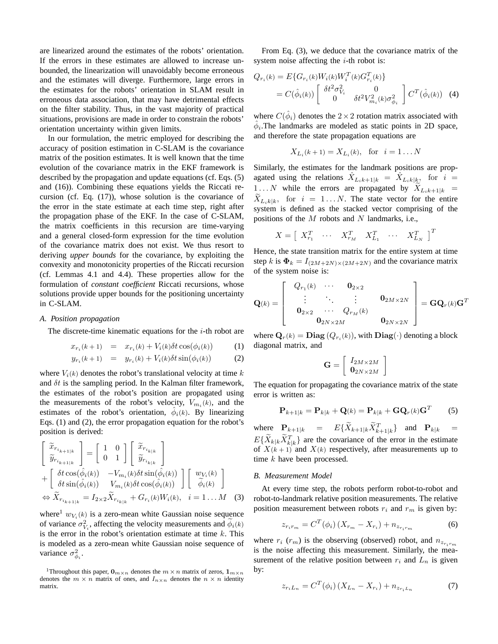are linearized around the estimates of the robots' orientation. If the errors in these estimates are allowed to increase unbounded, the linearization will unavoidably become erroneous and the estimates will diverge. Furthermore, large errors in the estimates for the robots' orientation in SLAM result in erroneous data association, that may have detrimental effects on the filter stability. Thus, in the vast majority of practical situations, provisions are made in order to constrain the robots' orientation uncertainty within given limits.

In our formulation, the metric employed for describing the accuracy of position estimation in C-SLAM is the covariance matrix of the position estimates. It is well known that the time evolution of the covariance matrix in the EKF framework is described by the propagation and update equations (cf. Eqs. (5) and (16)). Combining these equations yields the Riccati recursion (cf. Eq. (17)), whose solution is the covariance of the error in the state estimate at each time step, right after the propagation phase of the EKF. In the case of C-SLAM, the matrix coefficients in this recursion are time-varying and a general closed-form expression for the time evolution of the covariance matrix does not exist. We thus resort to deriving *upper bounds* for the covariance, by exploiting the convexity and monotonicity properties of the Riccati recursion (cf. Lemmas 4.1 and 4.4). These properties allow for the formulation of *constant coefficient* Riccati recursions, whose solutions provide upper bounds for the positioning uncertainty in C-SLAM.

#### *A. Position propagation*

The discrete-time kinematic equations for the  $i$ -th robot are

$$
x_{r_i}(k+1) = x_{r_i}(k) + V_i(k)\delta t \cos(\phi_i(k)) \tag{1}
$$

$$
y_{r_i}(k+1) = y_{r_i}(k) + V_i(k)\delta t \sin(\phi_i(k)) \tag{2}
$$

where  $V_i(k)$  denotes the robot's translational velocity at time k and  $\delta t$  is the sampling period. In the Kalman filter framework, the estimates of the robot's position are propagated using the measurements of the robot's velocity,  $V_{m_i}(k)$ , and the estimates of the robot's orientation,  $\hat{\phi}_i(k)$ . By linearizing Eqs. (1) and (2), the error propagation equation for the robot's position is derived:

$$
\begin{aligned}\n\begin{bmatrix}\n\widetilde{x}_{r_{i_{k+1|k}}}\n\widetilde{y}_{r_{i_{k+1|k}}}\n\end{bmatrix} &= \begin{bmatrix}\n1 & 0 \\
0 & 1\n\end{bmatrix}\n\begin{bmatrix}\n\widetilde{x}_{r_{i_{k|k}}}\n\widetilde{y}_{r_{i_{k|k}}}\n\end{bmatrix} \\
+ \begin{bmatrix}\n\delta t \cos(\hat{\phi}_{i}(k)) & -V_{m_{i}}(k)\delta t \sin(\hat{\phi}_{i}(k)) \\
\delta t \sin(\hat{\phi}_{i}(k)) & V_{m_{i}}(k)\delta t \cos(\hat{\phi}_{i}(k))\n\end{bmatrix}\n\begin{bmatrix}\nw_{V_{i}}(k) \\
\widetilde{\phi}_{i}(k)\n\end{bmatrix} \\
\Leftrightarrow \widetilde{X}_{r_{i_{k+1|k}}}=I_{2\times 2}\widetilde{X}_{r_{i_{k|k}}}+G_{r_{i}}(k)W_{i}(k), \quad i=1...M\n\end{aligned}
$$
\n(3)

where<sup>1</sup>  $w_{V_i}(k)$  is a zero-mean white Gaussian noise sequence of variance  $\sigma_{V_i}^2$ , affecting the velocity measurements and  $\widetilde{\phi}_i(k)$ is the error in the robot's orientation estimate at time  $k$ . This is modeled as a zero-mean white Gaussian noise sequence of variance  $\sigma_{\phi_i}^2$ .

From Eq. (3), we deduce that the covariance matrix of the system noise affecting the  $i$ -th robot is:

$$
Q_{r_i}(k) = E\{G_{r_i}(k)W_i(k)W_i^T(k)G_{r_i}^T(k)\}\
$$

$$
= C(\hat{\phi}_i(k)) \begin{bmatrix} \delta t^2 \sigma_{V_i}^2 & 0\\ 0 & \delta t^2 V_{m_i}^2(k) \sigma_{\phi_i}^2 \end{bmatrix} C^T(\hat{\phi}_i(k)) \quad (4)
$$

where  $C(\hat{\phi}_i)$  denotes the  $2 \times 2$  rotation matrix associated with  $\hat{\phi}_i$ . The landmarks are modeled as static points in 2D space, and therefore the state propagation equations are

$$
X_{L_i}(k+1) = X_{L_i}(k)
$$
, for  $i = 1...N$ 

Similarly, the estimates for the landmark positions are propagated using the relations  $\hat{X}_{L_ik+1|k} = \hat{X}_{L_ik|k}$ , for  $i =$ 1... N while the errors are propagated by  $\widetilde{X}_{L_ik+1|k}$  =  $\widetilde{X}_{L_i k|k}$ , for  $i = 1...N$ . The state vector for the entire system is defined as the stacked vector comprising of the positions of the  $M$  robots and  $N$  landmarks, i.e.,

$$
X = \left[ \begin{array}{cccc} X_{r_1}^T & \cdots & X_{r_M}^T & X_{L_1}^T & \cdots & X_{L_N}^T \end{array} \right]^T
$$

Hence, the state transition matrix for the entire system at time step k is  $\mathbf{\Phi}_k = I_{(2M+2N)\times(2M+2N)}$  and the covariance matrix of the system noise is:

$$
\mathbf{Q}(k) = \left[ \begin{array}{cccc} Q_{r_1}(k) & \cdots & \mathbf{0}_{2 \times 2} \\ \vdots & \ddots & \vdots \\ \mathbf{0}_{2 \times 2} & \cdots & Q_{r_M}(k) \\ \mathbf{0}_{2N \times 2M} & & \mathbf{0}_{2N \times 2N} \end{array} \right] = \mathbf{G} \mathbf{Q}_r(k) \mathbf{G}^T
$$

where  $\mathbf{Q}_r(k) = \mathbf{Diag}(Q_{r_i}(k))$ , with  $\mathbf{Diag}(\cdot)$  denoting a block diagonal matrix, and

$$
\mathbf{G} = \left[ \begin{array}{c} I_{2M \times 2M} \\ \mathbf{0}_{2N \times 2M} \end{array} \right]
$$

The equation for propagating the covariance matrix of the state error is written as:

$$
\mathbf{P}_{k+1|k} = \mathbf{P}_{k|k} + \mathbf{Q}(k) = \mathbf{P}_{k|k} + \mathbf{G}\mathbf{Q}_r(k)\mathbf{G}^T
$$
 (5)

where  $\mathbf{P}_{k+1|k}$  =  $E\{\widetilde{X}_{k+1|k}\widetilde{X}_{k+1|k}^T\}$  and  $\mathbf{P}_{k|k}$  =  $E\{\widetilde{X}_{k|k}\widetilde{X}_{k|k}^T\}$  are the covariance of the error in the estimate of  $X(k+1)$  and  $X(k)$  respectively, after measurements up to time k have been processed.

#### *B. Measurement Model*

At every time step, the robots perform robot-to-robot and robot-to-landmark relative position measurements. The relative position measurement between robots  $r_i$  and  $r_m$  is given by:

$$
z_{r_i r_m} = C^T(\phi_i) \left( X_{r_m} - X_{r_i} \right) + n_{z_{r_i r_m}}
$$
(6)

where  $r_i$  ( $r_m$ ) is the observing (observed) robot, and  $n_{z_{r_i r_m}}$ is the noise affecting this measurement. Similarly, the measurement of the relative position between  $r_i$  and  $L_n$  is given by:

$$
z_{r_i L_n} = C^T(\phi_i) (X_{L_n} - X_{r_i}) + n_{z_{r_i L_n}}
$$
 (7)

<sup>&</sup>lt;sup>1</sup>Throughout this paper,  $\mathbf{0}_{m \times n}$  denotes the  $m \times n$  matrix of zeros,  $\mathbf{1}_{m \times n}$ denotes the  $m \times n$  matrix of ones, and  $I_{n \times n}$  denotes the  $n \times n$  identity matrix.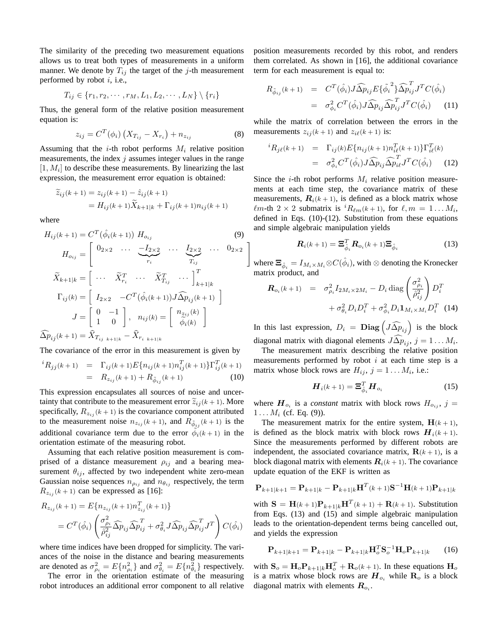The similarity of the preceding two measurement equations allows us to treat both types of measurements in a uniform manner. We denote by  $T_{ij}$  the target of the j-th measurement performed by robot  $i$ , i.e.,

$$
T_{ij} \in \{r_1, r_2, \cdots, r_M, L_1, L_2, \cdots, L_N\} \setminus \{r_i\}
$$

Thus, the general form of the relative position measurement equation is:

$$
z_{ij} = C^{T}(\phi_i) (X_{T_{ij}} - X_{r_i}) + n_{z_{ij}}
$$
 (8)

#

Assuming that the *i*-th robot performs  $M_i$  relative position measurements, the index  $j$  assumes integer values in the range  $[1, M<sub>i</sub>]$  to describe these measurements. By linearizing the last expression, the measurement error equation is obtained:

$$
\begin{aligned} \widetilde{z}_{ij}(k+1) &= z_{ij}(k+1) - \widehat{z}_{ij}(k+1) \\ &= H_{ij}(k+1) \widetilde{X}_{k+1|k} + \Gamma_{ij}(k+1) n_{ij}(k+1) \end{aligned}
$$

where

$$
H_{ij}(k+1) = C^{T}(\hat{\phi}_{i}(k+1)) H_{o_{ij}} \qquad (9)
$$
  
\n
$$
H_{o_{ij}} = \begin{bmatrix} 0_{2\times 2} & \cdots & \underbrace{-I_{2\times 2}}_{r_{i}} & \cdots & \underbrace{I_{2\times 2}}_{r_{i}} & \cdots & 0_{2\times 2} \\ \vdots & \vdots & \ddots & \vdots & \vdots \\ \vdots & \ddots & \widetilde{X}_{r_{i}}^{T} & \cdots & \widetilde{I}_{k+1|k}^{T} \\ \Gamma_{ij}(k) = \begin{bmatrix} I_{2\times 2} & -C^{T}(\hat{\phi}_{i}(k+1)) J \widehat{\Delta} p_{ij}(k+1) \\ 1 & 0 \end{bmatrix} \end{bmatrix}
$$
  
\n
$$
J = \begin{bmatrix} 0 & -1 \\ 1 & 0 \end{bmatrix}, \quad n_{ij}(k) = \begin{bmatrix} n_{z_{ij}}(k) \\ \tilde{\phi}_{i}(k) \end{bmatrix}
$$
  
\n
$$
\widehat{\Delta} p_{ij}(k+1) = \widehat{X}_{T_{ij}} \,_{k+1|k} - \widehat{X}_{r_{i}} \,_{k+1|k}
$$

The covariance of the error in this measurement is given by

$$
{}^{i}R_{jj}(k+1) = \Gamma_{ij}(k+1)E\{n_{ij}(k+1)n_{ij}^{T}(k+1)\}\Gamma_{ij}^{T}(k+1)
$$
  
=  $R_{z_{ij}}(k+1) + R_{\tilde{\phi}_{ij}}(k+1)$  (10)

This expression encapsulates all sources of noise and uncertainty that contribute to the measurement error  $\tilde{z}_{ij}(k+1)$ . More specifically,  $R_{z_{ij}}(k+1)$  is the covariance component attributed to the measurement noise  $n_{z_{ij}}(k+1)$ , and  $R_{\tilde{\phi}_{ij}}(k+1)$  is the additional covariance term due to the error  $\phi_i(k+1)$  in the orientation estimate of the measuring robot.

Assuming that each relative position measurement is comprised of a distance measurement  $\rho_{ij}$  and a bearing measurement  $\theta_{ij}$ , affected by two independent white zero-mean Gaussian noise sequences  $n_{\rho_{ij}}$  and  $n_{\theta_{ij}}$  respectively, the term  $R_{z_{ij}}(k+1)$  can be expressed as [16]:

$$
R_{z_{ij}}(k+1) = E\{n_{z_{ij}}(k+1)n_{z_{ij}}^T(k+1)\}
$$
  
=  $C^T(\hat{\phi}_i) \left(\frac{\sigma_{\rho_i}^2}{\hat{\rho}_{ij}^2} \widehat{\Delta p}_{ij} \widehat{\Delta p}_{ij}^T + \sigma_{\theta_i}^2 J \widehat{\Delta p}_{ij} \widehat{\Delta p}_{ij}^T J^T\right) C(\hat{\phi}_i)$ 

where time indices have been dropped for simplicity. The variances of the noise in the distance and bearing measurements are denoted as  $\sigma_{\rho_i}^2 = E\{n_{\rho_i}^2\}$  and  $\sigma_{\theta_i}^2 = E\{n_{\theta_i}^2\}$  respectively.

The error in the orientation estimate of the measuring robot introduces an additional error component to all relative position measurements recorded by this robot, and renders them correlated. As shown in [16], the additional covariance term for each measurement is equal to:

$$
R_{\tilde{\phi}_{ij}}(k+1) = C^T(\hat{\phi}_i) J \widehat{\Delta p}_{ij} E\{\tilde{\phi}_i^2\} \widehat{\Delta p}_{ij}^T J^T C(\hat{\phi}_i)
$$
  

$$
= \sigma_{\phi_i}^2 C^T(\hat{\phi}_i) J \widehat{\Delta p}_{ij} \widehat{\Delta p}_{ij}^T J^T C(\hat{\phi}_i)
$$
(11)

while the matrix of correlation between the errors in the measurements  $z_{ij}(k + 1)$  and  $z_{i\ell}(k + 1)$  is:

$$
{}^{i}R_{j\ell}(k+1) = \Gamma_{ij}(k)E\{n_{ij}(k+1)n_{i\ell}^{T}(k+1)\}\Gamma_{i\ell}^{T}(k)
$$
  

$$
= \sigma_{\phi_i}^{2} C^{T}(\hat{\phi}_i) J \widehat{\Delta p}_{ij} \widehat{\Delta p}_{i\ell}^{T} J^{T} C(\hat{\phi}_i)
$$
(12)

Since the *i*-th robot performs  $M_i$  relative position measurements at each time step, the covariance matrix of these measurements,  $\mathbf{R}_i(k+1)$ , is defined as a block matrix whose  $\ell m$ -th  $2 \times 2$  submatrix is  ${}^{i}R_{\ell m}(k + 1)$ , for  $\ell, m = 1 \dots M_i$ , defined in Eqs. (10)-(12). Substitution from these equations and simple algebraic manipulation yields

$$
\boldsymbol{R}_{i}(k+1) = \boldsymbol{\Xi}_{\hat{\phi}_{i}}^{T} \boldsymbol{R}_{o_{i}}(k+1) \boldsymbol{\Xi}_{\hat{\phi}_{i}} \tag{13}
$$

where  $\boldsymbol{\Xi}_{\hat{\phi}_i} = I_{M_i \times M_i} {\otimes} C(\hat{\phi}_i),$  with  $\otimes$  denoting the Kronecker matrix product, and

rix product, and  
\n
$$
\mathbf{R}_{o_i}(k+1) = \sigma_{\rho_i}^2 I_{2M_i \times 2M_i} - D_i \operatorname{diag} \left( \frac{\sigma_{\rho_i}^2}{\hat{\rho}_{ij}^2} \right) D_i^T + \sigma_{\theta_i}^2 D_i D_i^T + \sigma_{\phi_i}^2 D_i \mathbf{1}_{M_i \times M_i} D_i^T
$$
(14)

In this last expression,  $D_i = \textbf{Diag} (J\widehat{\Delta p}_{ij})$  is the block diagonal matrix with diagonal elements  $J\widehat{\Delta p}_{ij}$ ,  $j = 1 \dots M_i$ .

The measurement matrix describing the relative position measurements performed by robot  $i$  at each time step is a matrix whose block rows are  $H_{ij}$ ,  $j = 1...M_i$ , i.e.:

$$
\boldsymbol{H}_i(k+1) = \boldsymbol{\Xi}_{\hat{\phi}_i}^T \boldsymbol{H}_{o_i} \tag{15}
$$

where  $H_{o_i}$  is a *constant* matrix with block rows  $H_{o_{ij}}$ ,  $j =$  $1 \ldots M_i$  (cf. Eq. (9)).

The measurement matrix for the entire system,  $H(k+1)$ , is defined as the block matrix with block rows  $H_i(k+1)$ . Since the measurements performed by different robots are independent, the associated covariance matrix,  $\mathbf{R}(k+1)$ , is a block diagonal matrix with elements  $\mathbf{R}_i(k+1)$ . The covariance update equation of the EKF is written as

$$
\mathbf{P}_{k+1|k+1} = \mathbf{P}_{k+1|k} - \mathbf{P}_{k+1|k} \mathbf{H}^T(k+1) \mathbf{S}^{-1} \mathbf{H}(k+1) \mathbf{P}_{k+1|k}
$$

with  $\mathbf{S} = \mathbf{H}(k+1)\mathbf{P}_{k+1|k}\mathbf{H}^T(k+1) + \mathbf{R}(k+1)$ . Substitution from Eqs. (13) and (15) and simple algebraic manipulation leads to the orientation-dependent terms being cancelled out, and yields the expression

$$
\mathbf{P}_{k+1|k+1} = \mathbf{P}_{k+1|k} - \mathbf{P}_{k+1|k} \mathbf{H}_o^T \mathbf{S}_o^{-1} \mathbf{H}_o \mathbf{P}_{k+1|k} \qquad (16)
$$

with  $S_o = H_o P_{k+1|k} H_o^T + R_o(k+1)$ . In these equations  $H_o$ is a matrix whose block rows are  $H_{o_i}$  while  $\mathbf{R}_o$  is a block diagonal matrix with elements  $R_{o_i}$ .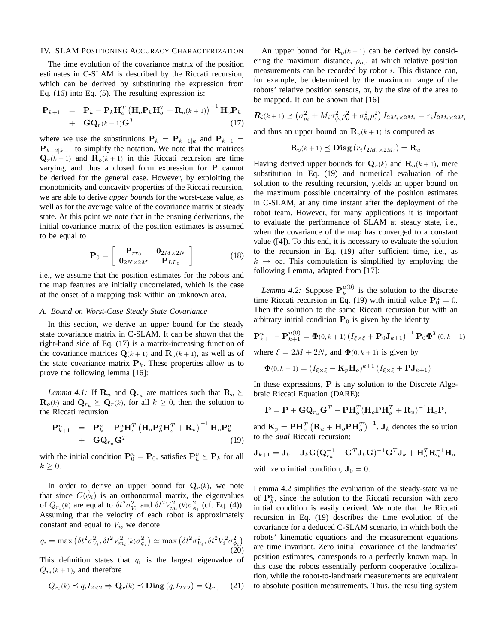#### IV. SLAM POSITIONING ACCURACY CHARACTERIZATION

The time evolution of the covariance matrix of the position estimates in C-SLAM is described by the Riccati recursion, which can be derived by substituting the expression from Eq. (16) into Eq. (5). The resulting expression is:

$$
\mathbf{P}_{k+1} = \mathbf{P}_k - \mathbf{P}_k \mathbf{H}_o^T \left( \mathbf{H}_o \mathbf{P}_k \mathbf{H}_o^T + \mathbf{R}_o(k+1) \right)^{-1} \mathbf{H}_o \mathbf{P}_k + \mathbf{G} \mathbf{Q}_r (k+1) \mathbf{G}^T
$$
 (17)

where we use the substitutions  $P_k = P_{k+1|k}$  and  $P_{k+1} =$  ${\bf P}_{k+2|k+1}$  to simplify the notation. We note that the matrices  $\mathbf{Q}_r(k+1)$  and  $\mathbf{R}_o(k+1)$  in this Riccati recursion are time varying, and thus a closed form expression for P cannot be derived for the general case. However, by exploiting the monotonicity and concavity properties of the Riccati recursion, we are able to derive *upper bounds* for the worst-case value, as well as for the average value of the covariance matrix at steady state. At this point we note that in the ensuing derivations, the initial covariance matrix of the position estimates is assumed to be equal to

$$
\mathbf{P}_0 = \left[ \begin{array}{cc} \mathbf{P}_{rr_0} & \mathbf{0}_{2M \times 2N} \\ \mathbf{0}_{2N \times 2M} & \mathbf{P}_{LL_0} \end{array} \right] \tag{18}
$$

i.e., we assume that the position estimates for the robots and the map features are initially uncorrelated, which is the case at the onset of a mapping task within an unknown area.

# *A. Bound on Worst-Case Steady State Covariance*

In this section, we derive an upper bound for the steady state covariance matrix in C-SLAM. It can be shown that the right-hand side of Eq. (17) is a matrix-increasing function of the covariance matrices  $\mathbf{Q}(k+1)$  and  $\mathbf{R}_{o}(k+1)$ , as well as of the state covariance matrix  $P_k$ . These properties allow us to prove the following lemma [16]:

*Lemma 4.1:* If  $\mathbf{R}_u$  and  $\mathbf{Q}_{r_u}$  are matrices such that  $\mathbf{R}_u \succeq$  $\mathbf{R}_{o}(k)$  and  $\mathbf{Q}_{r_u} \succeq \mathbf{Q}_{r}(k)$ , for all  $k \geq 0$ , then the solution to the Riccati recursion

$$
\mathbf{P}_{k+1}^{u} = \mathbf{P}_{k}^{u} - \mathbf{P}_{k}^{u} \mathbf{H}_{o}^{T} (\mathbf{H}_{o} \mathbf{P}_{k}^{u} \mathbf{H}_{o}^{T} + \mathbf{R}_{u})^{-1} \mathbf{H}_{o} \mathbf{P}_{k}^{u} + \mathbf{G} \mathbf{Q}_{r_{u}} \mathbf{G}^{T}
$$
\n(19)

with the initial condition  $\mathbf{P}_0^u = \mathbf{P}_0$ , satisfies  $\mathbf{P}_k^u \succeq \mathbf{P}_k$  for all  $k \geq 0$ .

In order to derive an upper bound for  $Q_r(k)$ , we note that since  $C(\hat{\phi}_i)$  is an orthonormal matrix, the eigenvalues of  $Q_{r_i}(k)$  are equal to  $\delta t^2 \sigma_{V_i}^2$  and  $\delta t^2 V_{m_i}^2(k) \sigma_{\phi_i}^2$  (cf. Eq. (4)). Assuming that the velocity of each robot is approximately constant and equal to  $V_i$ , we denote

$$
q_i = \max\left(\delta t^2 \sigma_{V_i}^2, \delta t^2 V_{m_i}^2(k) \sigma_{\phi_i}^2\right) \simeq \max\left(\delta t^2 \sigma_{V_i}^2, \delta t^2 V_i^2 \sigma_{\phi_i}^2\right)
$$
\n(20)

This definition states that  $q_i$  is the largest eigenvalue of  $Q_{r_i}(k+1)$ , and therefore

$$
Q_{r_i}(k) \preceq q_i I_{2 \times 2} \Rightarrow \mathbf{Q_r}(k) \preceq \mathbf{Diag}(q_i I_{2 \times 2}) = \mathbf{Q}_{r_u} \qquad (21)
$$

An upper bound for  $\mathbf{R}_{o}(k+1)$  can be derived by considering the maximum distance,  $\rho_{o_i}$ , at which relative position measurements can be recorded by robot i. This distance can, for example, be determined by the maximum range of the robots' relative position sensors, or, by the size of the area to be mapped. It can be shown that [16]

$$
\mathbf{R}_{i}(k+1) \preceq \left(\sigma_{\rho_{i}}^{2} + M_{i}\sigma_{\phi_{i}}^{2} \rho_{o}^{2} + \sigma_{\theta_{i}}^{2} \rho_{o}^{2}\right) I_{2M_{i} \times 2M_{i}} = r_{i} I_{2M_{i} \times 2M_{i}}
$$

and thus an upper bound on  $\mathbf{R}_{o}(k+1)$  is computed as

$$
\mathbf{R}_{o}(k+1) \preceq \mathbf{Diag} (r_i I_{2M_i \times 2M_i}) = \mathbf{R}_u
$$

Having derived upper bounds for  $\mathbf{Q}_r(k)$  and  $\mathbf{R}_o(k+1)$ , mere substitution in Eq. (19) and numerical evaluation of the solution to the resulting recursion, yields an upper bound on the maximum possible uncertainty of the position estimates in C-SLAM, at any time instant after the deployment of the robot team. However, for many applications it is important to evaluate the performance of SLAM at steady state, i.e., when the covariance of the map has converged to a constant value ([4]). To this end, it is necessary to evaluate the solution to the recursion in Eq. (19) after sufficient time, i.e., as  $k \to \infty$ . This computation is simplified by employing the following Lemma, adapted from [17]:

*Lemma 4.2:* Suppose  $P_k^{u(0)}$  $\frac{u(0)}{k}$  is the solution to the discrete time Riccati recursion in Eq. (19) with initial value  $P_0^u = 0$ . Then the solution to the same Riccati recursion but with an arbitrary initial condition  $P_0$  is given by the identity

$$
\mathbf{P}_{k+1}^{u} - \mathbf{P}_{k+1}^{u(0)} = \Phi(0, k+1) \left( I_{\xi \times \xi} + \mathbf{P}_0 \mathbf{J}_{k+1} \right)^{-1} \mathbf{P}_0 \Phi^T(0, k+1)
$$
  
where  $\xi = 2M + 2N$ , and  $\Phi(0, k+1)$  is given by

 $\mathbf{\Phi}(0,k+1) = \left(I_{\xi\times\xi} - \mathbf{K}_p\mathbf{H}_o\right)^{k+1}\left(I_{\xi\times\xi} + \mathbf{P}\mathbf{J}_{k+1}\right)$ 

In these expressions,  $P$  is any solution to the Discrete Algebraic Riccati Equation (DARE):

$$
\mathbf{P} = \mathbf{P} + \mathbf{G} \mathbf{Q}_{r_u} \mathbf{G}^T - \mathbf{P} \mathbf{H}_o^T (\mathbf{H}_o \mathbf{P} \mathbf{H}_o^T + \mathbf{R}_u)^{-1} \mathbf{H}_o \mathbf{P},
$$

and  $\mathbf{K}_p = \mathbf{P} \mathbf{H}_o^T$  $\left(\mathbf{R}_u + \mathbf{H}_o \mathbf{P} \mathbf{H}_o^T\right)$  $\big)^{-1}$ . J<sub>k</sub> denotes the solution to the *dual* Riccati recursion:

$$
\mathbf{J}_{k+1} = \mathbf{J}_k - \mathbf{J}_k \mathbf{G} (\mathbf{Q}_{r_u}^{-1} + \mathbf{G}^T \mathbf{J}_k \mathbf{G})^{-1} \mathbf{G}^T \mathbf{J}_k + \mathbf{H}_o^T \mathbf{R}_u^{-1} \mathbf{H}_o
$$

with zero initial condition,  $\mathbf{J}_0 = 0$ .

Lemma 4.2 simplifies the evaluation of the steady-state value of  $\mathbf{P}_k^u$ , since the solution to the Riccati recursion with zero initial condition is easily derived. We note that the Riccati recursion in Eq. (19) describes the time evolution of the covariance for a deduced C-SLAM scenario, in which both the robots' kinematic equations and the measurement equations are time invariant. Zero initial covariance of the landmarks' position estimates, corresponds to a perfectly known map. In this case the robots essentially perform cooperative localization, while the robot-to-landmark measurements are equivalent to absolute position measurements. Thus, the resulting system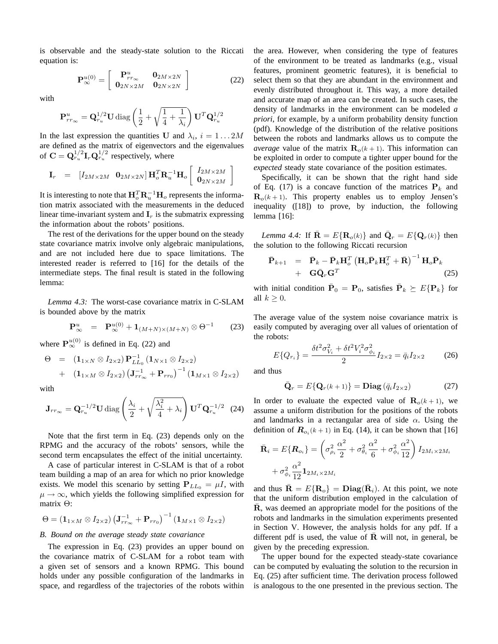is observable and the steady-state solution to the Riccati equation is:

$$
\mathbf{P}_{\infty}^{u(0)} = \left[ \begin{array}{cc} \mathbf{P}_{rr_{\infty}}^{u} & \mathbf{0}_{2M \times 2N} \\ \mathbf{0}_{2N \times 2M} & \mathbf{0}_{2N \times 2N} \end{array} \right] \tag{22}
$$

with

$$
\mathbf{P}_{rr_{\infty}}^{u} = \mathbf{Q}_{r_u}^{1/2} \mathbf{U} \operatorname{diag}\left(\frac{1}{2} + \sqrt{\frac{1}{4} + \frac{1}{\lambda_i}}\right) \mathbf{U}^T \mathbf{Q}_{r_u}^{1/2}
$$

In the last expression the quantities U and  $\lambda_i$ ,  $i = 1...2M$ are defined as the matrix of eigenvectors and the eigenvalues of  $\mathbf{C} = \mathbf{Q}_{r_u}^{1/2} \mathbf{I}_r \mathbf{Q}_{r_u}^{1/2}$  respectively, where

$$
\mathbf{I}_{r} = [I_{2M\times2M} \quad \mathbf{0}_{2M\times2N}] \mathbf{H}_{o}^{T} \mathbf{R}_{u}^{-1} \mathbf{H}_{o} \begin{bmatrix} I_{2M\times2M} \\ \mathbf{0}_{2N\times2M} \end{bmatrix}
$$

It is interesting to note that  $\mathbf{H}_o^T \mathbf{R}_u^{-1} \mathbf{H}_o$  represents the information matrix associated with the measurements in the deduced linear time-invariant system and  $I<sub>r</sub>$  is the submatrix expressing the information about the robots' positions.

The rest of the derivations for the upper bound on the steady state covariance matrix involve only algebraic manipulations, and are not included here due to space limitations. The interested reader is referred to [16] for the details of the intermediate steps. The final result is stated in the following lemma:

*Lemma 4.3:* The worst-case covariance matrix in C-SLAM is bounded above by the matrix

$$
\mathbf{P}_{\infty}^{u} = \mathbf{P}_{\infty}^{u(0)} + \mathbf{1}_{(M+N)\times(M+N)} \otimes \Theta^{-1}
$$
 (23)

where  $P_{\infty}^{u(0)}$  is defined in Eq. (22) and

$$
\Theta = (1_{1 \times N} \otimes I_{2 \times 2}) \mathbf{P}_{LL_0}^{-1} (1_{N \times 1} \otimes I_{2 \times 2})
$$
  
+  $(1_{1 \times M} \otimes I_{2 \times 2}) (\mathbf{J}_{rr_{\infty}}^{-1} + \mathbf{P}_{rr_0})^{-1} (1_{M \times 1} \otimes I_{2 \times 2})$ 

with

$$
\mathbf{J}_{rr_{\infty}} = \mathbf{Q}_{r_u}^{-1/2} \mathbf{U} \operatorname{diag} \left( \frac{\lambda_i}{2} + \sqrt{\frac{\lambda_i^2}{4} + \lambda_i} \right) \mathbf{U}^T \mathbf{Q}_{r_u}^{-1/2} \quad (24)
$$

Note that the first term in Eq. (23) depends only on the RPMG and the accuracy of the robots' sensors, while the second term encapsulates the effect of the initial uncertainty.

A case of particular interest in C-SLAM is that of a robot team building a map of an area for which no prior knowledge exists. We model this scenario by setting  $P_{LL_0} = \mu I$ , with  $\mu \rightarrow \infty$ , which yields the following simplified expression for matrix Θ:

$$
\Theta = \left( \mathbf{1}_{1 \times M} \otimes I_{2 \times 2} \right) \left( \mathbf{J}_{rr_\infty}^{-1} + \mathbf{P}_{rr_0} \right)^{-1} \left( \mathbf{1}_{M \times 1} \otimes I_{2 \times 2} \right)
$$

## *B. Bound on the average steady state covariance*

The expression in Eq. (23) provides an upper bound on the covariance matrix of C-SLAM for a robot team with a given set of sensors and a known RPMG. This bound holds under any possible configuration of the landmarks in space, and regardless of the trajectories of the robots within the area. However, when considering the type of features of the environment to be treated as landmarks (e.g., visual features, prominent geometric features), it is beneficial to select them so that they are abundant in the environment and evenly distributed throughout it. This way, a more detailed and accurate map of an area can be created. In such cases, the density of landmarks in the environment can be modeled *a priori*, for example, by a uniform probability density function (pdf). Knowledge of the distribution of the relative positions between the robots and landmarks allows us to compute the *average* value of the matrix  $\mathbf{R}_{o}(k+1)$ . This information can be exploited in order to compute a tighter upper bound for the *expected* steady state covariance of the position estimates.

Specifically, it can be shown that the right hand side of Eq. (17) is a concave function of the matrices  $P_k$  and  $\mathbf{R}_{o}(k+1)$ . This property enables us to employ Jensen's inequality ([18]) to prove, by induction, the following lemma [16]:

*Lemma 4.4:* If  $\bar{\mathbf{R}} = E\{\mathbf{R}_{o}(k)\}\$  and  $\bar{\mathbf{Q}}_r = E\{\mathbf{Q}_r(k)\}\$  then the solution to the following Riccati recursion

$$
\begin{array}{rcl}\n\bar{\mathbf{P}}_{k+1} & = & \bar{\mathbf{P}}_k - \bar{\mathbf{P}}_k \mathbf{H}_o^T \left( \mathbf{H}_o \bar{\mathbf{P}}_k \mathbf{H}_o^T + \bar{\mathbf{R}} \right)^{-1} \mathbf{H}_o \bar{\mathbf{P}}_k \\
& + & \mathbf{G} \bar{\mathbf{Q}}_r \mathbf{G}^T\n\end{array} \tag{25}
$$

with initial condition  $\bar{\mathbf{P}}_0 = \mathbf{P}_0$ , satisfies  $\bar{\mathbf{P}}_k \succeq E\{\mathbf{P}_k\}$  for all  $k \geq 0$ .

The average value of the system noise covariance matrix is easily computed by averaging over all values of orientation of the robots:

$$
E\{Q_{r_i}\} = \frac{\delta t^2 \sigma_{V_i}^2 + \delta t^2 V_i^2 \sigma_{\phi_i}^2}{2} I_{2 \times 2} = \bar{q}_i I_{2 \times 2}
$$
 (26)

and thus

$$
\bar{\mathbf{Q}}_r = E\{\mathbf{Q}_r(k+1)\} = \mathbf{Diag}\left(\bar{q}_i I_{2\times 2}\right) \tag{27}
$$

In order to evaluate the expected value of  $\mathbf{R}_{o}(k+1)$ , we assume a uniform distribution for the positions of the robots and landmarks in a rectangular area of side  $\alpha$ . Using the definition of  $\mathbf{R}_{o_i}(k+1)$  in Eq. (14), it can be shown that [16]

$$
\bar{\mathbf{R}}_{i} = E\{\mathbf{R}_{o_{i}}\} = \left(\sigma_{\rho_{i}}^{2} \frac{\alpha^{2}}{2} + \sigma_{\theta_{i}}^{2} \frac{\alpha^{2}}{6} + \sigma_{\phi_{i}}^{2} \frac{\alpha^{2}}{12}\right) I_{2M_{i} \times 2M_{i}} \n+ \sigma_{\phi_{i}}^{2} \frac{\alpha^{2}}{12} \mathbf{1}_{2M_{i} \times 2M_{i}}
$$

and thus  $\bar{\mathbf{R}} = E\{\mathbf{R}_o\} = \mathbf{Diag}(\bar{\mathbf{R}}_i)$ . At this point, we note that the uniform distribution employed in the calculation of R, was deemed an appropriate model for the positions of the robots and landmarks in the simulation experiments presented in Section V. However, the analysis holds for any pdf. If a different pdf is used, the value of  $\overline{R}$  will not, in general, be given by the preceding expression.

The upper bound for the expected steady-state covariance can be computed by evaluating the solution to the recursion in Eq. (25) after sufficient time. The derivation process followed is analogous to the one presented in the previous section. The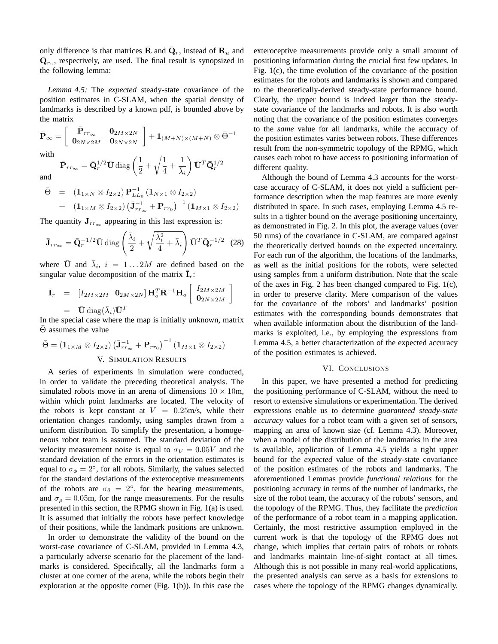only difference is that matrices  $\bar{\mathbf{R}}$  and  $\bar{\mathbf{Q}}_r$ , instead of  $\mathbf{R}_u$  and  $\mathbf{Q}_{r_u}$ , respectively, are used. The final result is synopsized in the following lemma:

*Lemma 4.5:* The *expected* steady-state covariance of the position estimates in C-SLAM, when the spatial density of landmarks is described by a known pdf, is bounded above by the matrix ፡<br>- $\overline{a}$ 

$$
\bar{\mathbf{P}}_{\infty} = \left[\begin{array}{cc} \bar{\mathbf{P}}_{rr\infty} & \mathbf{0}_{2M \times 2N} \\ \mathbf{0}_{2N \times 2M} & \mathbf{0}_{2N \times 2N} \end{array}\right] + \mathbf{1}_{(M+N) \times (M+N)} \otimes \bar{\Theta}^{-1}
$$

with

and

$$
\bar{\mathbf{P}}_{rr_{\infty}} = \bar{\mathbf{Q}}_r^{1/2} \bar{\mathbf{U}} \operatorname{diag}\left(\frac{1}{2} + \sqrt{\frac{1}{4} + \frac{1}{\bar{\lambda}_i}}\right) \bar{\mathbf{U}}^T \bar{\mathbf{Q}}_r^{1/2}
$$

$$
\bar{\Theta} = (\mathbf{1}_{1 \times N} \otimes I_{2 \times 2}) \mathbf{P}_{LL_0}^{-1} (\mathbf{1}_{N \times 1} \otimes I_{2 \times 2}) \n+ (\mathbf{1}_{1 \times M} \otimes I_{2 \times 2}) (\bar{\mathbf{J}}_{rr_{\infty}}^{-1} + \mathbf{P}_{rr_0})^{-1} (\mathbf{1}_{M \times 1} \otimes I_{2 \times 2})
$$

The quantity  $J_{rr_\infty}$  appearing in this last expression is:

$$
\bar{\mathbf{J}}_{rr_{\infty}} = \bar{\mathbf{Q}}_r^{-1/2} \bar{\mathbf{U}} \operatorname{diag} \left( \frac{\bar{\lambda}_i}{2} + \sqrt{\frac{\bar{\lambda}_i^2}{4} + \bar{\lambda}_i} \right) \bar{\mathbf{U}}^T \bar{\mathbf{Q}}_r^{-1/2} \quad (28)
$$

where  $\bar{U}$  and  $\bar{\lambda}_i$ ,  $i = 1...2M$  are defined based on the singular value decomposition of the matrix  $\bar{I}_r$ :

$$
\begin{aligned}\n\overline{\mathbf{I}}_r &= \left[I_{2M\times 2M} \ \mathbf{0}_{2M\times 2N}\right] \mathbf{H}_o^T \overline{\mathbf{R}}^{-1} \mathbf{H}_o \left[\begin{array}{c} I_{2M\times 2M} \\
\mathbf{0}_{2N\times 2M} \end{array}\right] \\
&= \overline{\mathbf{U}} \operatorname{diag}(\overline{\lambda}_i) \overline{\mathbf{U}}^T\n\end{aligned}
$$

In the special case where the map is initially unknown, matrix  $\overline{\Theta}$  assumes the value

$$
\bar{\Theta} = (\mathbf{1}_{1 \times M} \otimes I_{2 \times 2}) (\bar{\mathbf{J}}_{rr_{\infty}}^{-1} + \mathbf{P}_{rr_{0}})^{-1} (\mathbf{1}_{M \times 1} \otimes I_{2 \times 2})
$$
  
V. SIMULATION RESULTS

A series of experiments in simulation were conducted, in order to validate the preceding theoretical analysis. The simulated robots move in an arena of dimensions  $10 \times 10$ m, within which point landmarks are located. The velocity of the robots is kept constant at  $V = 0.25$ m/s, while their orientation changes randomly, using samples drawn from a uniform distribution. To simplify the presentation, a homogeneous robot team is assumed. The standard deviation of the velocity measurement noise is equal to  $\sigma_V = 0.05V$  and the standard deviation of the errors in the orientation estimates is equal to  $\sigma_{\phi} = 2^{\circ}$ , for all robots. Similarly, the values selected for the standard deviations of the exteroceptive measurements of the robots are  $\sigma_{\theta} = 2^{\circ}$ , for the bearing measurements, and  $\sigma_{\rho} = 0.05$ m, for the range measurements. For the results presented in this section, the RPMG shown in Fig. 1(a) is used. It is assumed that initially the robots have perfect knowledge of their positions, while the landmark positions are unknown.

In order to demonstrate the validity of the bound on the worst-case covariance of C-SLAM, provided in Lemma 4.3, a particularly adverse scenario for the placement of the landmarks is considered. Specifically, all the landmarks form a cluster at one corner of the arena, while the robots begin their exploration at the opposite corner (Fig. 1(b)). In this case the exteroceptive measurements provide only a small amount of positioning information during the crucial first few updates. In Fig. 1(c), the time evolution of the covariance of the position estimates for the robots and landmarks is shown and compared to the theoretically-derived steady-state performance bound. Clearly, the upper bound is indeed larger than the steadystate covariance of the landmarks and robots. It is also worth noting that the covariance of the position estimates converges to the *same* value for all landmarks, while the accuracy of the position estimates varies between robots. These differences result from the non-symmetric topology of the RPMG, which causes each robot to have access to positioning information of different quality.

Although the bound of Lemma 4.3 accounts for the worstcase accuracy of C-SLAM, it does not yield a sufficient performance description when the map features are more evenly distributed in space. In such cases, employing Lemma 4.5 results in a tighter bound on the average positioning uncertainty, as demonstrated in Fig. 2. In this plot, the average values (over 50 runs) of the covariance in C-SLAM, are compared against the theoretically derived bounds on the expected uncertainty. For each run of the algorithm, the locations of the landmarks, as well as the initial positions for the robots, were selected using samples from a uniform distribution. Note that the scale of the axes in Fig. 2 has been changed compared to Fig. 1(c), in order to preserve clarity. Mere comparison of the values for the covariance of the robots' and landmarks' position estimates with the corresponding bounds demonstrates that when available information about the distribution of the landmarks is exploited, i.e., by employing the expressions from Lemma 4.5, a better characterization of the expected accuracy of the position estimates is achieved.

### VI. CONCLUSIONS

In this paper, we have presented a method for predicting the positioning performance of C-SLAM, without the need to resort to extensive simulations or experimentation. The derived expressions enable us to determine *guaranteed steady-state accuracy* values for a robot team with a given set of sensors, mapping an area of known size (cf. Lemma 4.3). Moreover, when a model of the distribution of the landmarks in the area is available, application of Lemma 4.5 yields a tight upper bound for the *expected* value of the steady-state covariance of the position estimates of the robots and landmarks. The aforementioned Lemmas provide *functional relations* for the positioning accuracy in terms of the number of landmarks, the size of the robot team, the accuracy of the robots' sensors, and the topology of the RPMG. Thus, they facilitate the *prediction* of the performance of a robot team in a mapping application. Certainly, the most restrictive assumption employed in the current work is that the topology of the RPMG does not change, which implies that certain pairs of robots or robots and landmarks maintain line-of-sight contact at all times. Although this is not possible in many real-world applications, the presented analysis can serve as a basis for extensions to cases where the topology of the RPMG changes dynamically.